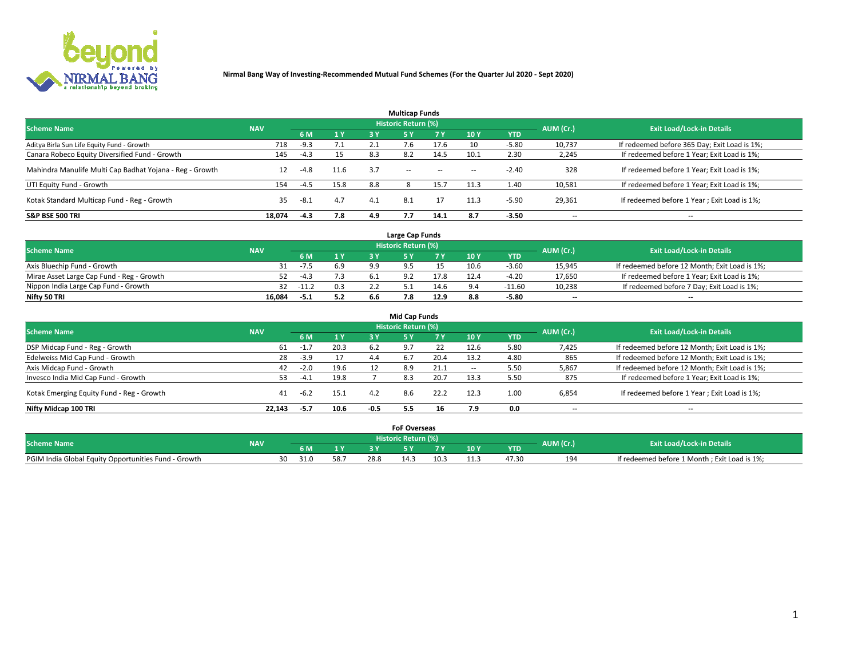

| <b>Multicap Funds</b>                                    |            |        |      |     |                     |           |                          |            |           |                                              |  |  |  |
|----------------------------------------------------------|------------|--------|------|-----|---------------------|-----------|--------------------------|------------|-----------|----------------------------------------------|--|--|--|
| <b>Scheme Name</b>                                       | <b>NAV</b> |        |      |     | Historic Return (%) |           |                          |            | AUM (Cr.) | <b>Exit Load/Lock-in Details</b>             |  |  |  |
|                                                          |            | 6 M    | 1 Y  | 3 Y | <b>5Y</b>           | <b>7Y</b> | 10Y                      | <b>YTD</b> |           |                                              |  |  |  |
| Aditya Birla Sun Life Equity Fund - Growth               | 718        | $-9.3$ | 7.1  |     |                     | 17.6      | 10                       | $-5.80$    | 10,737    | If redeemed before 365 Day; Exit Load is 1%; |  |  |  |
| Canara Robeco Equity Diversified Fund - Growth           | 145        | $-4.3$ | 15   | 8.3 |                     | 14.5      | 10.1                     | 2.30       | 2,245     | If redeemed before 1 Year; Exit Load is 1%;  |  |  |  |
| Mahindra Manulife Multi Cap Badhat Yojana - Reg - Growth | 12         | $-4.8$ | 11.6 | 3.7 | $\sim$ $-$          | $\sim$    | $\overline{\phantom{a}}$ | $-2.40$    | 328       | If redeemed before 1 Year; Exit Load is 1%;  |  |  |  |
| UTI Equity Fund - Growth                                 | 154        | $-4.5$ | 15.8 | 8.8 |                     | 15.7      | 11.3                     | 1.40       | 10,581    | If redeemed before 1 Year; Exit Load is 1%;  |  |  |  |
| Kotak Standard Multicap Fund - Reg - Growth              | 35         | $-8.1$ | 4.7  | 4.1 | 8.1                 |           | 11.3                     | $-5.90$    | 29,361    | If redeemed before 1 Year; Exit Load is 1%;  |  |  |  |
| <b>S&amp;P BSE 500 TRI</b>                               | 18.074     | $-4.3$ | 7.8  | 4.9 |                     | 14.1      | 8.7                      | $-3.50$    | --        | $- -$                                        |  |  |  |

|                                           |            |             |                |     | Large Cap Funds     |      |      |            |                          |                                               |
|-------------------------------------------|------------|-------------|----------------|-----|---------------------|------|------|------------|--------------------------|-----------------------------------------------|
| <b>Scheme Name</b>                        | <b>NAV</b> |             |                |     | Historic Return (%) |      |      |            | AUM (Cr.)                | <b>Exit Load/Lock-in Details</b>              |
|                                           |            | 6 M         | 4 <sub>Y</sub> |     |                     |      | 10 Y | <b>YTD</b> |                          |                                               |
| Axis Bluechip Fund - Growth               |            | $-7.5$      | 6.9            | 9.9 |                     |      | 10.6 | $-3.60$    | 15,945                   | If redeemed before 12 Month; Exit Load is 1%; |
| Mirae Asset Large Cap Fund - Reg - Growth | 52         | $-4.3$      |                |     |                     | 17.8 |      | -4.20      | 17,650                   | If redeemed before 1 Year; Exit Load is 1%;   |
| Nippon India Large Cap Fund - Growth      |            | $32 - 11.2$ |                |     |                     | 14.6 |      | $-11.60$   | 10,238                   | If redeemed before 7 Day; Exit Load is 1%;    |
| Nifty 50 TRI                              | 16.084     | -5.1        | 5.2            |     | 7.8                 | 12.9 | 8.8  | -5.80      | $\overline{\phantom{a}}$ | $- -$                                         |

| <b>Mid Cap Funds</b>                      |            |        |      |        |                            |      |      |            |                          |                                               |  |  |  |
|-------------------------------------------|------------|--------|------|--------|----------------------------|------|------|------------|--------------------------|-----------------------------------------------|--|--|--|
| <b>Scheme Name</b>                        | <b>NAV</b> |        |      |        | <b>Historic Return (%)</b> |      |      |            | AUM (Cr.)                | <b>Exit Load/Lock-in Details</b>              |  |  |  |
|                                           |            | 6 M    | 1Y   | 3 Y    |                            | v v  | 10Y  | <b>YTD</b> |                          |                                               |  |  |  |
| DSP Midcap Fund - Reg - Growth            | 61         | $-1.7$ | 20.3 | 6.2    | 97                         |      | 12.6 | 5.80       | 7,425                    | If redeemed before 12 Month; Exit Load is 1%; |  |  |  |
| Edelweiss Mid Cap Fund - Growth           | 28         | $-3.9$ | 17   | 4.4    | 6.7                        | 20.4 | 13.2 | 4.80       | 865                      | If redeemed before 12 Month; Exit Load is 1%; |  |  |  |
| Axis Midcap Fund - Growth                 | 42         | $-2.0$ | 19.6 |        | 8.9                        | 21.1 | -    | 5.50       | 5,867                    | If redeemed before 12 Month; Exit Load is 1%; |  |  |  |
| Invesco India Mid Cap Fund - Growth       | 53.        | $-4.1$ | 19.8 |        | 8.3                        | 20.7 | 13.3 | 5.50       | 875                      | If redeemed before 1 Year; Exit Load is 1%;   |  |  |  |
| Kotak Emerging Equity Fund - Reg - Growth | 41         | $-6.2$ | 15.1 | 4.2    | 8.6                        | 22.2 | 12.3 | 1.00       | 6,854                    | If redeemed before 1 Year; Exit Load is 1%;   |  |  |  |
| Nifty Midcap 100 TRI                      | 22.143     | -5.7   | 10.6 | $-0.5$ | 5.5                        | 16   | 7.9  | 0.0        | $\overline{\phantom{a}}$ | $- -$                                         |  |  |  |

|                                                      |            |     |     |      | <b>FoF Overseas</b>        |      |     |            |           |                                              |
|------------------------------------------------------|------------|-----|-----|------|----------------------------|------|-----|------------|-----------|----------------------------------------------|
| <b>Scheme Name</b>                                   | <b>NAV</b> |     |     |      | <b>Historic Return (%)</b> |      |     |            | AUM (Cr.) | <b>Exit Load/Lock-in Details</b>             |
|                                                      |            | 6 M |     |      |                            | 7 V  | 10Y | <b>YTD</b> |           |                                              |
| PGIM India Global Equity Opportunities Fund - Growth |            | 30  | 58. | 28.8 |                            | 10.3 |     | 47.30      | 194       | If redeemed before 1 Month; Exit Load is 1%; |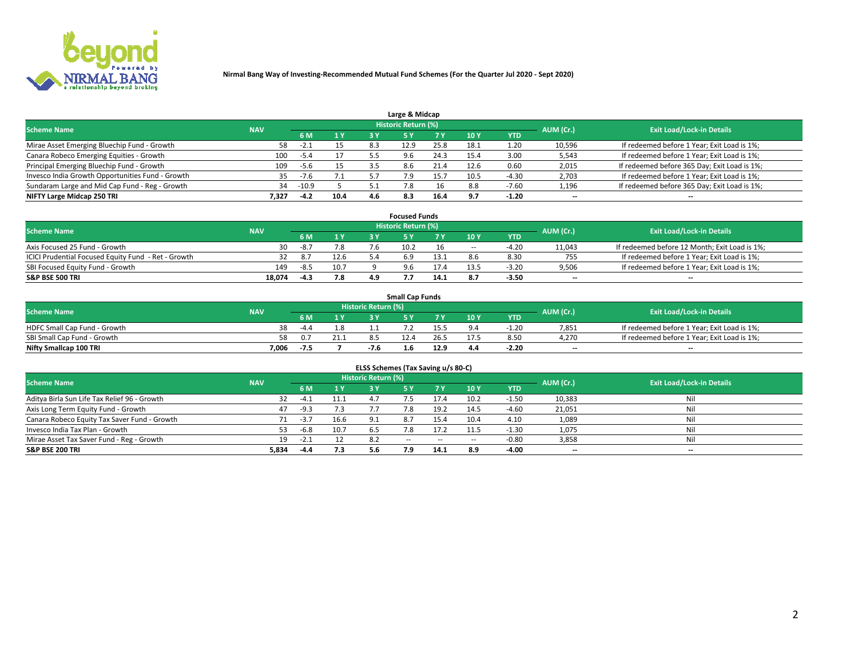

| Large & Midcap                                   |            |         |      |     |                     |      |      |            |                          |                                              |  |  |  |
|--------------------------------------------------|------------|---------|------|-----|---------------------|------|------|------------|--------------------------|----------------------------------------------|--|--|--|
| <b>Scheme Name</b>                               | <b>NAV</b> |         |      |     | Historic Return (%) |      |      |            | AUM (Cr.)                | <b>Exit Load/Lock-in Details</b>             |  |  |  |
|                                                  |            | 6 M     | 1 Y  |     |                     | 7 V  | 10Y  | <b>YTD</b> |                          |                                              |  |  |  |
| Mirae Asset Emerging Bluechip Fund - Growth      | 58         | -2.1    |      | 8.3 | 12.9                | 25.8 | 18.1 | 1.20       | 10,596                   | If redeemed before 1 Year; Exit Load is 1%;  |  |  |  |
| Canara Robeco Emerging Equities - Growth         | 100        | -5.4    |      |     | 9.6                 | 24.3 | 15.4 | 3.00       | 5,543                    | If redeemed before 1 Year; Exit Load is 1%;  |  |  |  |
| Principal Emerging Bluechip Fund - Growth        | 109        | -5.6    |      |     | 8.6                 | 21.4 | 12.6 | 0.60       | 2,015                    | If redeemed before 365 Day; Exit Load is 1%; |  |  |  |
| Invesco India Growth Opportunities Fund - Growth | 35         | $-7.6$  |      |     |                     |      | 10.5 | -4.30      | 2,703                    | If redeemed before 1 Year; Exit Load is 1%;  |  |  |  |
| Sundaram Large and Mid Cap Fund - Reg - Growth   | 34         | $-10.9$ |      |     |                     | 16   |      | $-7.60$    | 1,196                    | If redeemed before 365 Day; Exit Load is 1%; |  |  |  |
| NIFTY Large Midcap 250 TRI                       | 7.327      | $-4.2$  | 10.4 | 4.6 | 8.3                 | 16.4 | 9.7  | $-1.20$    | $\overline{\phantom{a}}$ | $- -$                                        |  |  |  |

|                                                     |            |        |      |     | <b>Focused Funds</b>       |      |        |            |                          |                                               |
|-----------------------------------------------------|------------|--------|------|-----|----------------------------|------|--------|------------|--------------------------|-----------------------------------------------|
| <b>Scheme Name</b>                                  | <b>NAV</b> |        |      |     | <b>Historic Return (%)</b> |      |        |            | AUM (Cr.)                | <b>Exit Load/Lock-in Details</b>              |
|                                                     |            | 6 M    | 1 Y  |     |                            |      | 10 Y   | <b>YTD</b> |                          |                                               |
| Axis Focused 25 Fund - Growth                       | 30         | $-8.7$ | 7.8  |     | 10.2                       |      | $\sim$ | $-4.20$    | 11,043                   | If redeemed before 12 Month; Exit Load is 1%; |
| ICICI Prudential Focused Equity Fund - Ret - Growth |            |        | 12.6 |     |                            |      |        | 8.30       | 755                      | If redeemed before 1 Year; Exit Load is 1%;   |
| SBI Focused Equity Fund - Growth                    | 149        | $-8.5$ | 10.7 |     |                            |      |        | $-3.20$    | 9,506                    | If redeemed before 1 Year; Exit Load is 1%;   |
| S&P BSE 500 TRI                                     | 18,074     | $-4.3$ | 7.8  | 4.9 |                            | 14.1 | 8.7    | $-3.50$    | $\overline{\phantom{a}}$ | $- -$                                         |

| <b>Small Cap Funds</b>       |            |        |      |                     |     |      |                 |            |           |                                             |  |  |
|------------------------------|------------|--------|------|---------------------|-----|------|-----------------|------------|-----------|---------------------------------------------|--|--|
| <b>Scheme Name</b>           | <b>NAV</b> |        |      | Historic Return (%) |     |      |                 |            | AUM (Cr.) | <b>Exit Load/Lock-in Details</b>            |  |  |
|                              |            | 6 M    |      |                     |     |      | 10 <sub>Y</sub> | <b>YTD</b> |           |                                             |  |  |
| HDFC Small Cap Fund - Growth | 38         | $-4.4$ |      |                     |     |      |                 | $-1.20$    | 7,851     | If redeemed before 1 Year; Exit Load is 1%; |  |  |
| SBI Small Cap Fund - Growth  |            |        | 21.1 |                     |     |      |                 | 8.50       | 4.270     | If redeemed before 1 Year; Exit Load is 1%; |  |  |
| Nifty Smallcap 100 TRI       | 7.006      |        |      |                     | 1.6 | 12.9 | 4.4             | $-2.20$    | $- -$     | $- -$                                       |  |  |

| ELSS Schemes (Tax Saving u/s 80-C)           |            |        |      |                            |           |        |                          |            |                          |                                  |  |  |  |
|----------------------------------------------|------------|--------|------|----------------------------|-----------|--------|--------------------------|------------|--------------------------|----------------------------------|--|--|--|
| <b>Scheme Name</b>                           | <b>NAV</b> |        |      | <b>Historic Return (%)</b> |           |        |                          |            | AUM (Cr.)                | <b>Exit Load/Lock-in Details</b> |  |  |  |
|                                              |            | - 6 M  | 1Y   | 3 Y                        | <b>5Y</b> | 7 Y    | 10 Y                     | <b>YTD</b> |                          |                                  |  |  |  |
| Aditya Birla Sun Life Tax Relief 96 - Growth |            | $-4.1$ | 11.1 | ⊿ ∵                        |           |        | 10.2                     | $-1.50$    | 10,383                   | Nil                              |  |  |  |
| Axis Long Term Equity Fund - Growth          | 47         | $-9.3$ | 7.3  | 7.7                        | 7.8       | 19.2   | 14.5                     | $-4.60$    | 21,051                   | Nil                              |  |  |  |
| Canara Robeco Equity Tax Saver Fund - Growth |            | $-3.7$ | 16.6 | 9.1                        | 8.7       | 15.4   | 10.4                     | 4.10       | 1,089                    | Nil                              |  |  |  |
| Invesco India Tax Plan - Growth              | 53.        | $-6.8$ | 10.7 | 6.5                        | 8.'       | 17.2   |                          | $-1.30$    | 1,075                    | Nil                              |  |  |  |
| Mirae Asset Tax Saver Fund - Reg - Growth    | 19         | -2.1   |      | 8.2                        | $- -$     | $\sim$ | $\overline{\phantom{a}}$ | $-0.80$    | 3,858                    | Nil                              |  |  |  |
| S&P BSE 200 TRI                              | 5,834      | $-4.4$ | 7.3  | 5.6                        | 7.9       | 14.1   | 8.9                      | $-4.00$    | $\overline{\phantom{a}}$ | $- -$                            |  |  |  |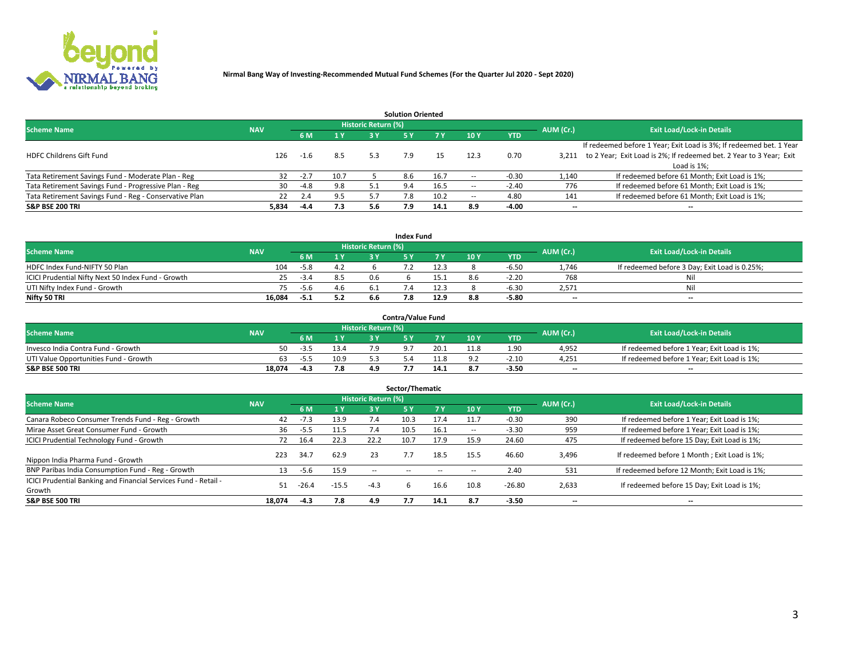

|                                                        |            |            |      |                            | <b>Solution Oriented</b> |      |                          |            |                          |                                                                     |
|--------------------------------------------------------|------------|------------|------|----------------------------|--------------------------|------|--------------------------|------------|--------------------------|---------------------------------------------------------------------|
| <b>Scheme Name</b>                                     | <b>NAV</b> |            |      | <b>Historic Return (%)</b> |                          |      |                          |            | AUM (Cr.)                | <b>Exit Load/Lock-in Details</b>                                    |
|                                                        |            | <b>6 M</b> | 1 Y  | 3 Y                        |                          |      | 10Y                      | <b>YTD</b> |                          |                                                                     |
|                                                        |            |            |      |                            |                          |      |                          |            |                          | If redeemed before 1 Year; Exit Load is 3%; If redeemed bet. 1 Year |
| <b>HDFC Childrens Gift Fund</b>                        | 126        | $-1.6$     | 8.5  | 5.3                        | 7.9                      |      | 12.3                     | 0.70       | 3.211                    | to 2 Year; Exit Load is 2%; If redeemed bet. 2 Year to 3 Year; Exit |
|                                                        |            |            |      |                            |                          |      |                          |            |                          | Load is 1%;                                                         |
| Tata Retirement Savings Fund - Moderate Plan - Reg     | 32         | $-2.7$     | 10.7 |                            | 8.6                      | 16.7 | --                       | -0.30      | 1,140                    | If redeemed before 61 Month; Exit Load is 1%;                       |
| Tata Retirement Savings Fund - Progressive Plan - Reg  | 30         | -4.8       | 9.8  | 5.1                        | 9.4                      | 16.5 | $\overline{\phantom{a}}$ | $-2.40$    | 776                      | If redeemed before 61 Month; Exit Load is 1%;                       |
| Tata Retirement Savings Fund - Reg - Conservative Plan | 22         | 2.4        | 9.5  |                            | 7.8                      | 10.2 | $\overline{\phantom{a}}$ | 4.80       | 141                      | If redeemed before 61 Month; Exit Load is 1%;                       |
| S&P BSE 200 TRI                                        | 5,834      | -4.4       | 7.3  | 5.6                        | 7.9                      | 14.1 | 8.9                      | $-4.00$    | $\overline{\phantom{a}}$ | $- -$                                                               |

|                                                    |            |        |              |                            | <b>Index Fund</b> |      |      |            |                          |                                               |
|----------------------------------------------------|------------|--------|--------------|----------------------------|-------------------|------|------|------------|--------------------------|-----------------------------------------------|
| <b>Scheme Name</b>                                 | <b>NAV</b> |        |              | <b>Historic Return (%)</b> |                   |      |      |            | AUM (Cr.)                | <b>Exit Load/Lock-in Details</b>              |
|                                                    |            |        | $\sqrt{1}$ Y | 2 V                        |                   | 7 V  | 10 Y | <b>YTD</b> |                          |                                               |
| HDFC Index Fund-NIFTY 50 Plan                      | 104        | $-5.8$ | 4.2          |                            |                   | 12.3 |      | $-6.5C$    | 1,746                    | If redeemed before 3 Day; Exit Load is 0.25%; |
| ICICI Prudential Nifty Next 50 Index Fund - Growth |            | -3.4   | 8.5          | 0.6                        |                   |      |      | $-2.20$    | 768                      | Nil                                           |
| UTI Nifty Index Fund - Growth                      |            | $-5.6$ | 4.6          |                            |                   | 12.3 |      | $-6.3C$    | 2,571                    | Nil                                           |
| Nifty 50 TRI                                       | 16.084     | -5.1   | 5.2          |                            | , с               | 12.9 |      | $-5.80$    | $\overline{\phantom{a}}$ | $- -$                                         |

|                                       |            |        |      |                            | <b>Contra/Value Fund</b> |      |     |            |                          |                                             |
|---------------------------------------|------------|--------|------|----------------------------|--------------------------|------|-----|------------|--------------------------|---------------------------------------------|
| <b>Scheme Name</b>                    | <b>NAV</b> |        |      | <b>Historic Return (%)</b> |                          |      |     |            | AUM (Cr.)                | <b>Exit Load/Lock-in Details</b>            |
|                                       |            |        | 1 V  |                            |                          | 7 V  | 10Y | <b>YTD</b> |                          |                                             |
| Invesco India Contra Fund - Growth    | 50         | -3.5   | 13.4 |                            |                          | 20.1 |     | 1.90       | 4,952                    | If redeemed before 1 Year; Exit Load is 1%; |
| UTI Value Opportunities Fund - Growth | 63         | -5.5   | 10.9 |                            |                          |      |     | $-2.10$    | 4,251                    | If redeemed before 1 Year; Exit Load is 1%; |
| <b>S&amp;P BSE 500 TRI</b>            | 18.074     | $-4.3$ | 7.8  |                            |                          | 14.1 |     | $-3.50$    | $\overline{\phantom{a}}$ | $- -$                                       |

| Sector/Thematic                                                           |            |        |         |                     |            |        |                          |            |           |                                               |  |  |  |
|---------------------------------------------------------------------------|------------|--------|---------|---------------------|------------|--------|--------------------------|------------|-----------|-----------------------------------------------|--|--|--|
| <b>Scheme Name</b>                                                        | <b>NAV</b> |        |         | Historic Return (%) |            |        |                          |            | AUM (Cr.) | <b>Exit Load/Lock-in Details</b>              |  |  |  |
|                                                                           |            | 6 M    | 1Y      | 3 Y                 | <b>5Y</b>  | 7 Y    | 10Y                      | <b>YTD</b> |           |                                               |  |  |  |
| Canara Robeco Consumer Trends Fund - Reg - Growth                         | 42         | $-7.3$ | 13.9    | 7.4                 | 10.3       | 17.4   | 11.7                     | $-0.30$    | 390       | If redeemed before 1 Year; Exit Load is 1%;   |  |  |  |
| Mirae Asset Great Consumer Fund - Growth                                  | 36         | -5.5   | 11.5    | 7.4                 | 10.5       | 16.1   | $\overline{\phantom{a}}$ | $-3.30$    | 959       | If redeemed before 1 Year; Exit Load is 1%;   |  |  |  |
| <b>ICICI Prudential Technology Fund - Growth</b>                          | 72         | 16.4   | 22.3    | 22.2                | 10.7       | 17.9   | 15.9                     | 24.60      | 475       | If redeemed before 15 Day; Exit Load is 1%;   |  |  |  |
| Nippon India Pharma Fund - Growth                                         | 223        | 34.7   | 62.9    | 23                  |            | 18.5   | 15.5                     | 46.60      | 3,496     | If redeemed before 1 Month; Exit Load is 1%;  |  |  |  |
| BNP Paribas India Consumption Fund - Reg - Growth                         | 13         | -5.6   | 15.9    | $\sim$ $-$          | $\sim$ $-$ | $\sim$ | $\sim$                   | 2.40       | 531       | If redeemed before 12 Month; Exit Load is 1%; |  |  |  |
| ICICI Prudential Banking and Financial Services Fund - Retail -<br>Growth | 51         | -26.4  | $-15.5$ | $-4.3$              | h.         | 16.6   | 10.8                     | $-26.80$   | 2,633     | If redeemed before 15 Day; Exit Load is 1%;   |  |  |  |
| <b>S&amp;P BSE 500 TRI</b>                                                | 18.074     | $-4.3$ | 7.8     | 4.9                 | 7.7        | 14.1   | 8.7                      | $-3.50$    | --        | $- -$                                         |  |  |  |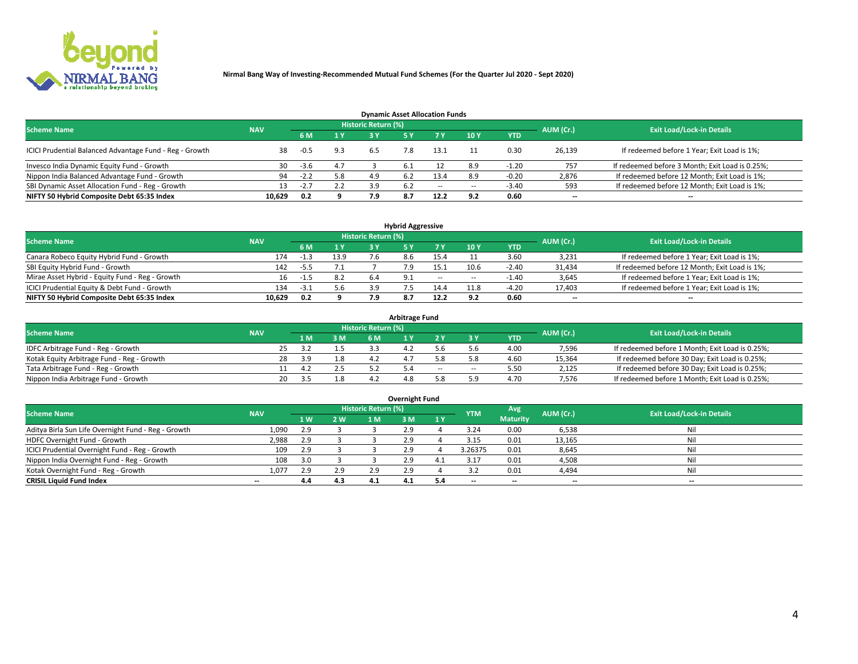

| <b>Dynamic Asset Allocation Funds</b>                   |                                                                |        |     |     |      |        |                          |            |           |                                                 |  |  |  |  |  |
|---------------------------------------------------------|----------------------------------------------------------------|--------|-----|-----|------|--------|--------------------------|------------|-----------|-------------------------------------------------|--|--|--|--|--|
|                                                         | <b>Historic Return (%)</b><br><b>Scheme Name</b><br><b>NAV</b> |        |     |     |      |        |                          |            |           |                                                 |  |  |  |  |  |
|                                                         |                                                                | 6 M    | 1 Y |     |      |        | $-10Y$                   | <b>YTD</b> | AUM (Cr.) | <b>Exit Load/Lock-in Details</b>                |  |  |  |  |  |
| ICICI Prudential Balanced Advantage Fund - Reg - Growth | 38                                                             | $-0.5$ | 9.3 | 6.5 | 7.8  | 13.1   |                          | 0.30       | 26,139    | If redeemed before 1 Year; Exit Load is 1%;     |  |  |  |  |  |
| Invesco India Dynamic Equity Fund - Growth              | 30                                                             | $-3.6$ | 4.7 |     | -6.1 |        | 8.9                      | $-1.20$    | 757       | If redeemed before 3 Month; Exit Load is 0.25%; |  |  |  |  |  |
| Nippon India Balanced Advantage Fund - Growth           | 94                                                             | $-2.2$ | 5.8 | 4.9 | b.2  | 13.4   | 8.9                      | $-0.20$    | 2,876     | If redeemed before 12 Month; Exit Load is 1%;   |  |  |  |  |  |
| SBI Dynamic Asset Allocation Fund - Reg - Growth        |                                                                | $-2.7$ | 2.2 | 3.9 | 6.2  | $\sim$ | $\overline{\phantom{a}}$ | $-3.40$    | 593       | If redeemed before 12 Month; Exit Load is 1%;   |  |  |  |  |  |
| NIFTY 50 Hybrid Composite Debt 65:35 Index              | 10,629                                                         | 0.2    |     | 7.9 | 8.7  | 12.2   | 9.2                      | 0.60       | $- -$     | $- -$                                           |  |  |  |  |  |

| <b>Hybrid Aggressive</b>                        |            |                                  |      |     |            |         |                          |            |                          |                                               |  |  |  |  |
|-------------------------------------------------|------------|----------------------------------|------|-----|------------|---------|--------------------------|------------|--------------------------|-----------------------------------------------|--|--|--|--|
| <b>Scheme Name</b>                              | AUM (Cr.)  | <b>Exit Load/Lock-in Details</b> |      |     |            |         |                          |            |                          |                                               |  |  |  |  |
|                                                 | <b>NAV</b> | 6 M                              | 1 Y  | RУ  |            |         | 10Y                      | <b>YTD</b> |                          |                                               |  |  |  |  |
| Canara Robeco Equity Hybrid Fund - Growth       | 174        |                                  | 13.9 |     |            |         |                          | 3.60       | 3,231                    | If redeemed before 1 Year; Exit Load is 1%;   |  |  |  |  |
| SBI Equity Hybrid Fund - Growth                 | 142        | -5.5                             |      |     |            | I. 5. 1 | 10.6                     | $-2.40$    | 31,434                   | If redeemed before 12 Month; Exit Load is 1%; |  |  |  |  |
| Mirae Asset Hybrid - Equity Fund - Reg - Growth | 16         | -1.5                             | 8.2  | 6.4 | <b>Q</b> 1 | $\sim$  | $\overline{\phantom{a}}$ | $-1.40$    | 3,645                    | If redeemed before 1 Year; Exit Load is 1%;   |  |  |  |  |
| ICICI Prudential Equity & Debt Fund - Growth    | 134        | -3.1                             | 5.6  |     |            |         | 11.8                     | $-4.20$    | 17,403                   | If redeemed before 1 Year; Exit Load is 1%;   |  |  |  |  |
| NIFTY 50 Hybrid Composite Debt 65:35 Index      | 10.629     | 0.2                              |      |     |            | 12.2    |                          | 0.60       | $\overline{\phantom{a}}$ | $- -$                                         |  |  |  |  |

| <b>Arbitrage Fund</b>                      |            |    |     |     |                     |         |     |        |            |           |                                                 |  |  |  |
|--------------------------------------------|------------|----|-----|-----|---------------------|---------|-----|--------|------------|-----------|-------------------------------------------------|--|--|--|
| <b>Scheme Name</b>                         | <b>NAV</b> |    |     |     | Historic Return (%) |         |     |        |            | AUM (Cr.) | <b>Exit Load/Lock-in Details</b>                |  |  |  |
|                                            |            |    | LΜ  | 3 M | <b>6M</b>           |         |     |        | <b>YTD</b> |           |                                                 |  |  |  |
| IDFC Arbitrage Fund - Reg - Growth         |            | 25 |     |     |                     | ــــــ9 |     |        | 4.00       | 7,596     | If redeemed before 1 Month; Exit Load is 0.25%; |  |  |  |
| Kotak Equity Arbitrage Fund - Reg - Growth |            | 28 | 3.9 |     |                     |         |     |        | 4.60       | 15,364    | If redeemed before 30 Day; Exit Load is 0.25%;  |  |  |  |
| Tata Arbitrage Fund - Reg - Growth         |            |    |     |     |                     |         | $-$ | $\sim$ | 5.50       | 2,125     | If redeemed before 30 Day; Exit Load is 0.25%;  |  |  |  |
| Nippon India Arbitrage Fund - Growth       |            | 20 |     |     |                     |         |     | ິດ     | 4.70       | 7.576     | If redeemed before 1 Month; Exit Load is 0.25%; |  |  |  |

| Overnight Fund                                      |            |     |     |                            |     |     |            |                 |                          |                                  |  |  |  |  |
|-----------------------------------------------------|------------|-----|-----|----------------------------|-----|-----|------------|-----------------|--------------------------|----------------------------------|--|--|--|--|
| <b>Scheme Name</b>                                  | <b>NAV</b> |     |     | <b>Historic Return (%)</b> |     |     | <b>YTM</b> | Avg             | AUM (Cr.)                | <b>Exit Load/Lock-in Details</b> |  |  |  |  |
|                                                     |            | 1 W | 2 W | 1 M.                       | 3 M | 1Y  |            | <b>Maturity</b> |                          |                                  |  |  |  |  |
| Aditya Birla Sun Life Overnight Fund - Reg - Growth | 1,090      | 2.9 |     |                            | 2.9 |     | 3.24       | 0.00            | 6,538                    | Nil                              |  |  |  |  |
| HDFC Overnight Fund - Growth                        | 2,988      | 2.9 |     |                            | 2.9 |     | 3.15       | 0.01            | 13,165                   | Nil                              |  |  |  |  |
| ICICI Prudential Overnight Fund - Reg - Growth      | 109        | 2.9 |     |                            | 2.9 |     | 3.26375    | 0.01            | 8,645                    | Nil                              |  |  |  |  |
| Nippon India Overnight Fund - Reg - Growth          | 108        |     |     |                            | 2.9 |     |            | 0.01            | 4,508                    | Nil                              |  |  |  |  |
| Kotak Overnight Fund - Reg - Growth                 | 1,077      | 2.9 | 2.9 | 2.9                        | 2.9 |     |            | 0.01            | 4,494                    | Nil                              |  |  |  |  |
| <b>CRISIL Liquid Fund Index</b>                     | $- -$      | 4.4 | 4.3 | 4.1                        | 4.1 | 5.4 | --         | $- -$           | $\overline{\phantom{a}}$ | --                               |  |  |  |  |

## **Overnight Fund**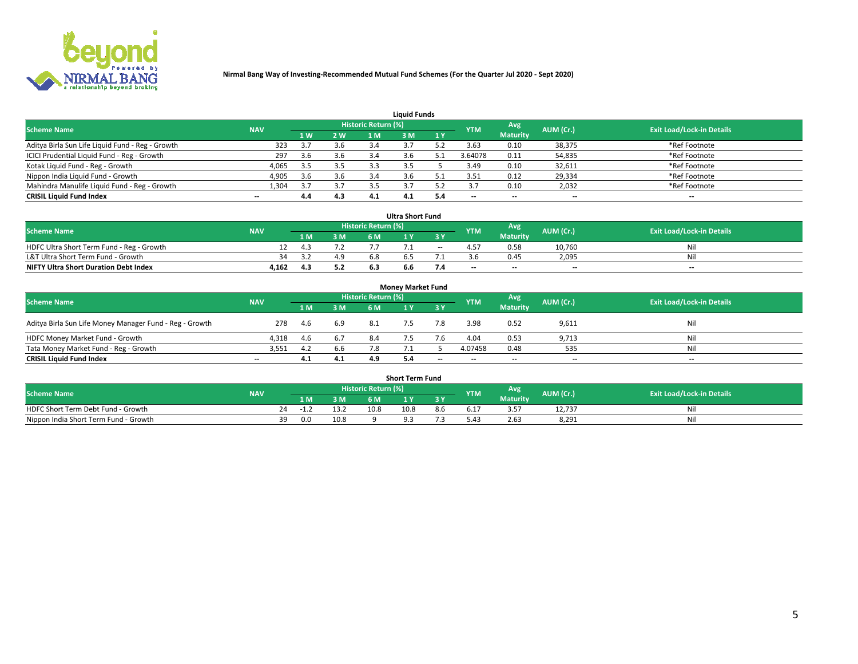

| <b>Liauid Funds</b>                              |            |     |     |                            |     |     |            |                          |           |                                  |  |  |  |  |
|--------------------------------------------------|------------|-----|-----|----------------------------|-----|-----|------------|--------------------------|-----------|----------------------------------|--|--|--|--|
| <b>Scheme Name</b>                               | <b>NAV</b> |     |     | <b>Historic Return (%)</b> |     |     | <b>YTM</b> | Avg                      | AUM (Cr.) | <b>Exit Load/Lock-in Details</b> |  |  |  |  |
|                                                  |            | 1 W | 2 W | 1 M                        | 8 M | 1Y  |            | <b>Maturity</b>          |           |                                  |  |  |  |  |
| Aditya Birla Sun Life Liquid Fund - Reg - Growth | 323        |     | 3.6 | 3.4                        |     |     | 3.63       | 0.10                     | 38,375    | *Ref Footnote                    |  |  |  |  |
| ICICI Prudential Liquid Fund - Reg - Growth      | 297        | 3.6 | 3.6 | 3.4                        |     |     | 3.64078    | 0.11                     | 54,835    | *Ref Footnote                    |  |  |  |  |
| Kotak Liquid Fund - Reg - Growth                 | 4,065      | 3.5 | 3.5 |                            |     |     | 3.49       | 0.10                     | 32,611    | *Ref Footnote                    |  |  |  |  |
| Nippon India Liquid Fund - Growth                | 4,905      | 3.6 | 3.6 | -5.4                       |     |     | 3.51       | 0.12                     | 29,334    | *Ref Footnote                    |  |  |  |  |
| Mahindra Manulife Liquid Fund - Reg - Growth     | 1.304      |     | 3.7 |                            |     |     |            | 0.10                     | 2,032     | *Ref Footnote                    |  |  |  |  |
| <b>CRISIL Liquid Fund Index</b>                  | $- -$      | 4.4 | 4.3 | 4.1                        | 4.1 | 5.4 | --         | $\overline{\phantom{a}}$ | --        | $- -$                            |  |  |  |  |

| <b>Ultra Short Fund</b>                      |            |     |     |                            |     |        |                          |                 |                          |                                  |  |  |  |  |
|----------------------------------------------|------------|-----|-----|----------------------------|-----|--------|--------------------------|-----------------|--------------------------|----------------------------------|--|--|--|--|
| <b>Scheme Name</b>                           | <b>NAV</b> |     |     | <b>Historic Return (%)</b> |     |        | <b>YTM</b>               | Avg             | AUM (Cr.)                | <b>Exit Load/Lock-in Details</b> |  |  |  |  |
|                                              |            | 1 M | 3 M | 6 M                        |     | 3 Y    |                          | <b>Maturity</b> |                          |                                  |  |  |  |  |
| HDFC Ultra Short Term Fund - Reg - Growth    |            | 4.3 |     |                            |     | $\sim$ |                          | 0.58            | 10,760                   | Nil                              |  |  |  |  |
| L&T Ultra Short Term Fund - Growth           | 34.        | 33  | 4.9 | b.8                        |     |        |                          | 0.45            | 2.095                    | Nil                              |  |  |  |  |
| <b>NIFTY Ultra Short Duration Debt Index</b> | 4,162      | 4.3 | 5.2 |                            | 6.6 |        | $\overline{\phantom{a}}$ | $- -$           | $\overline{\phantom{a}}$ | $- -$                            |  |  |  |  |

| <b>Money Market Fund</b>                                |            |       |     |                     |  |           |                          |                 |                          |                                  |  |  |  |  |
|---------------------------------------------------------|------------|-------|-----|---------------------|--|-----------|--------------------------|-----------------|--------------------------|----------------------------------|--|--|--|--|
| <b>Scheme Name</b>                                      | <b>NAV</b> |       |     | Historic Return (%) |  |           | <b>YTM</b>               | Avg             | AUM (Cr.)                | <b>Exit Load/Lock-in Details</b> |  |  |  |  |
|                                                         |            | 1 M   | 3 M | 6 M                 |  | <b>3Y</b> |                          | <b>Maturity</b> |                          |                                  |  |  |  |  |
| Aditya Birla Sun Life Money Manager Fund - Reg - Growth | 278        | -4.6  | 6.9 | -8.1                |  | 7.8       | 3.98                     | 0.52            | 9,611                    | Nil                              |  |  |  |  |
| HDFC Money Market Fund - Growth                         | 4,318      | - 4.6 | 6.7 | 8.4                 |  |           | 4.04                     | 0.53            | 9,713                    | Nil                              |  |  |  |  |
| Tata Money Market Fund - Reg - Growth                   | 3,551      | 4.2   | 6.6 |                     |  |           | 4.07458                  | 0.48            | 535                      | Nil                              |  |  |  |  |
| <b>CRISIL Liquid Fund Index</b>                         | $- -$      | 4.1   | 4.1 | 4.9                 |  | $- -$     | $\overline{\phantom{a}}$ | $- -$           | $\overline{\phantom{a}}$ | $- -$                            |  |  |  |  |

| <b>Short Term Fund</b>                |            |       |      |                     |      |     |      |                 |           |                                  |  |  |  |  |
|---------------------------------------|------------|-------|------|---------------------|------|-----|------|-----------------|-----------|----------------------------------|--|--|--|--|
| <b>Scheme Name</b>                    | <b>NAV</b> |       |      | Historic Return (%) |      |     | YTM  | Avg             | AUM (Cr.) | <b>Exit Load/Lock-in Details</b> |  |  |  |  |
|                                       |            | 1 M . | 3 M  | 6 M                 |      | 2V  |      | <b>Maturity</b> |           |                                  |  |  |  |  |
| HDFC Short Term Debt Fund - Growth    | 24         | -1.4  | 13.2 | 10.8                | 10.8 | 8.b | 17.د |                 | 12,737    | M                                |  |  |  |  |
| Nippon India Short Term Fund - Growth | 39         | 0.0   | 10.8 |                     |      |     | .42  | 2.63            | 8,291     | N                                |  |  |  |  |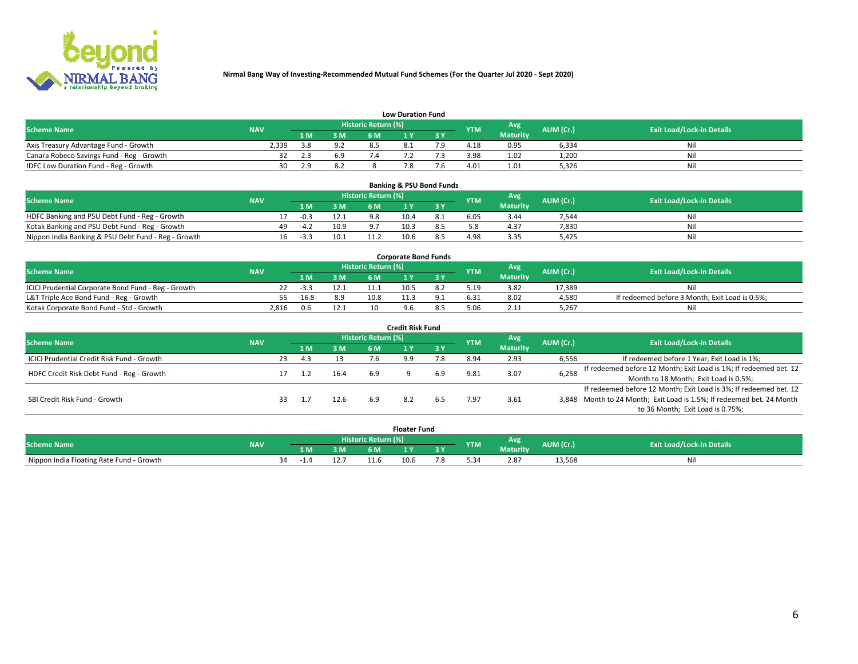

| <b>Low Duration Fund</b>                  |            |      |     |                     |          |     |            |                 |           |                                  |  |  |  |  |
|-------------------------------------------|------------|------|-----|---------------------|----------|-----|------------|-----------------|-----------|----------------------------------|--|--|--|--|
| <b>Scheme Name</b>                        | <b>NAV</b> |      |     | Historic Return (%) |          |     | <b>YTM</b> | Avg             | AUM (Cr.) | <b>Exit Load/Lock-in Details</b> |  |  |  |  |
|                                           |            | L M. | 3 M |                     |          | 3 Y |            | <b>Maturity</b> |           |                                  |  |  |  |  |
| Axis Treasury Advantage Fund - Growth     | 2.339      | 3 R  | 9.2 |                     | $\Omega$ |     | 4.18       | 0.95            | 6,334     | Nil                              |  |  |  |  |
| Canara Robeco Savings Fund - Reg - Growth |            | 2.3  | 6.9 |                     |          |     | 3.98       | 1.02            | 1,200     | Nil                              |  |  |  |  |
| IDFC Low Duration Fund - Reg - Growth     | 30         | , q  | 8.2 |                     |          |     | 4.01       | 1.01            | 5,326     | Nil                              |  |  |  |  |

| <b>Banking &amp; PSU Bond Funds</b>                 |            |    |        |                                                 |                |           |                                  |      |                 |       |     |  |  |  |
|-----------------------------------------------------|------------|----|--------|-------------------------------------------------|----------------|-----------|----------------------------------|------|-----------------|-------|-----|--|--|--|
| <b>Scheme Name</b>                                  | <b>NAV</b> |    |        | <b>Historic Return (%)</b><br>Avg<br><b>YTM</b> |                | AUM (Cr.) | <b>Exit Load/Lock-in Details</b> |      |                 |       |     |  |  |  |
|                                                     |            |    |        | 3 M                                             | 6 M            |           |                                  |      | <b>Maturity</b> |       |     |  |  |  |
| HDFC Banking and PSU Debt Fund - Reg - Growth       |            |    | $-0.3$ | 12.1                                            | 9.8            | 10.4      | 8.1                              | 6.05 | 3.44            | 7.544 | Ni  |  |  |  |
| Kotak Banking and PSU Debt Fund - Reg - Growth      |            | 49 | $-4.2$ | 10.9                                            | Q <sub>7</sub> | 10.3      |                                  |      | 4.37            | 7,830 | Nil |  |  |  |
| Nippon India Banking & PSU Debt Fund - Reg - Growth |            | 16 | $-3.3$ | 10.1                                            |                | 10.6      |                                  | 4.98 | 3.35            | 5.425 | Ni  |  |  |  |

| <b>Corporate Bond Funds</b>                         |            |         |      |                            |      |  |            |          |           |                                                |  |  |  |  |
|-----------------------------------------------------|------------|---------|------|----------------------------|------|--|------------|----------|-----------|------------------------------------------------|--|--|--|--|
| <b>Scheme Name</b>                                  | <b>NAV</b> |         |      | <b>Historic Return (%)</b> |      |  | <b>YTM</b> | Avg      | AUM (Cr.) | <b>Exit Load/Lock-in Details</b>               |  |  |  |  |
|                                                     |            |         | 3 M  | 6 M.                       |      |  |            | Maturity |           |                                                |  |  |  |  |
| ICICI Prudential Corporate Bond Fund - Reg - Growth |            | -5.5    | 12.1 |                            | 10.5 |  | 5.19       | 3.82     | 17.389    | Nil                                            |  |  |  |  |
| L&T Triple Ace Bond Fund - Reg - Growth             |            | $-16.8$ | 8.9  | 10.8                       |      |  | 6.31       | 8.02     | 4,580     | If redeemed before 3 Month; Exit Load is 0.5%; |  |  |  |  |
| Kotak Corporate Bond Fund - Std - Growth            | 2.816      | 0.6     | 12.1 | 10                         |      |  |            | 2.11     | 5,267     | Nil                                            |  |  |  |  |

| <b>Credit Risk Fund</b>                           |            |    |     |      |                     |     |     |            |                 |           |                                                                       |  |  |  |
|---------------------------------------------------|------------|----|-----|------|---------------------|-----|-----|------------|-----------------|-----------|-----------------------------------------------------------------------|--|--|--|
| <b>Scheme Name</b>                                | <b>NAV</b> |    |     |      | Historic Return (%) |     |     | <b>YTM</b> | Avg             | AUM (Cr.) | <b>Exit Load/Lock-in Details</b>                                      |  |  |  |
|                                                   |            |    | 1 M | 3 M  | 6 M                 |     | 3 Y |            | <b>Maturity</b> |           |                                                                       |  |  |  |
| <b>ICICI Prudential Credit Risk Fund - Growth</b> |            | 23 | 4.3 |      |                     | a a |     | 8.94       | 2.93            | 6,556     | If redeemed before 1 Year; Exit Load is 1%;                           |  |  |  |
| HDFC Credit Risk Debt Fund - Reg - Growth         |            |    |     | 16.4 | 6.9                 |     | 6.9 | 9.81       | 3.07            | 6,258     | If redeemed before 12 Month; Exit Load is 1%; If redeemed bet. 12     |  |  |  |
|                                                   |            |    |     |      |                     |     |     |            |                 |           | Month to 18 Month; Exit Load is 0.5%;                                 |  |  |  |
|                                                   |            |    |     |      |                     |     |     |            |                 |           | If redeemed before 12 Month; Exit Load is 3%; If redeemed bet. 12     |  |  |  |
| SBI Credit Risk Fund - Growth                     |            |    |     | 12.6 |                     |     |     | 7.97       | 3.61            |           | 3,848 Month to 24 Month; Exit Load is 1.5%; If redeemed bet. 24 Month |  |  |  |
|                                                   |            |    |     |      |                     |     |     |            |                 |           | to 36 Month; Exit Load is 0.75%;                                      |  |  |  |

| <b>Floater Fund</b>                      |            |           |    |                     |      |   |            |                 |           |                                  |  |
|------------------------------------------|------------|-----------|----|---------------------|------|---|------------|-----------------|-----------|----------------------------------|--|
| <b>Scheme Name</b>                       | <b>NAV</b> |           |    | Historic Return (%) |      |   | <b>YTM</b> | Avg             | AUM (Cr.) | <b>Exit Load/Lock-in Details</b> |  |
|                                          |            | 1 M       | ЗM | 6 M                 | - 17 | . |            | <b>Maturity</b> |           |                                  |  |
| Nippon India Floating Rate Fund - Growth |            | 34<br>-14 |    |                     | 10.6 |   |            | 2.87            | 13,568    | NL                               |  |